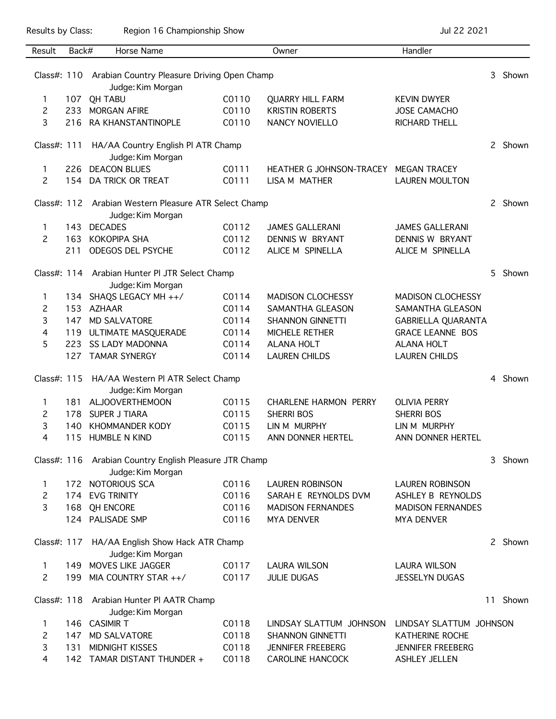Results by Class: Region 16 Championship Show Championship Show Jul 22 2021

| Result         | Back# | Horse Name                                                                   |       | Owner                        | Handler                   |    |         |  |
|----------------|-------|------------------------------------------------------------------------------|-------|------------------------------|---------------------------|----|---------|--|
|                |       | Class#: 110 Arabian Country Pleasure Driving Open Champ<br>Judge: Kim Morgan |       |                              |                           | 3  | Shown   |  |
| 1              | 107   | <b>QH TABU</b>                                                               | C0110 | <b>QUARRY HILL FARM</b>      | <b>KEVIN DWYER</b>        |    |         |  |
| 2              | 233   | <b>MORGAN AFIRE</b>                                                          | C0110 | <b>KRISTIN ROBERTS</b>       | <b>JOSE CAMACHO</b>       |    |         |  |
| 3              | 216   | RA KHANSTANTINOPLE                                                           | C0110 | <b>NANCY NOVIELLO</b>        | RICHARD THELL             |    |         |  |
| Class#: 111    |       | HA/AA Country English PI ATR Champ<br>Judge: Kim Morgan                      |       |                              |                           |    | 2 Shown |  |
| 1              | 226   | <b>DEACON BLUES</b>                                                          | C0111 | HEATHER G JOHNSON-TRACEY     | <b>MEGAN TRACEY</b>       |    |         |  |
| 2              | 154   | DA TRICK OR TREAT                                                            | C0111 | LISA M MATHER                | <b>LAUREN MOULTON</b>     |    |         |  |
|                |       | Class#: 112 Arabian Western Pleasure ATR Select Champ<br>Judge: Kim Morgan   |       |                              |                           |    |         |  |
| 1              | 143   | <b>DECADES</b>                                                               | C0112 | <b>JAMES GALLERANI</b>       | <b>JAMES GALLERANI</b>    |    |         |  |
| 2              | 163   | <b>KOKOPIPA SHA</b>                                                          | C0112 | DENNIS W BRYANT              | DENNIS W BRYANT           |    |         |  |
|                | 211   | ODEGOS DEL PSYCHE                                                            | C0112 | ALICE M SPINELLA             | ALICE M SPINELLA          |    |         |  |
|                |       | Class#: 114 Arabian Hunter Pl JTR Select Champ<br>Judge: Kim Morgan          |       |                              |                           | 5  | Shown   |  |
| 1.             |       | 134 SHAQS LEGACY MH ++/                                                      | C0114 | <b>MADISON CLOCHESSY</b>     | <b>MADISON CLOCHESSY</b>  |    |         |  |
| 2              | 153   | AZHAAR                                                                       | C0114 | SAMANTHA GLEASON             | SAMANTHA GLEASON          |    |         |  |
| 3              | 147   | <b>MD SALVATORE</b>                                                          | C0114 | <b>SHANNON GINNETTI</b>      | <b>GABRIELLA QUARANTA</b> |    |         |  |
| 4              | 119   | ULTIMATE MASQUERADE                                                          | C0114 | MICHELE RETHER               | <b>GRACE LEANNE BOS</b>   |    |         |  |
| 5              | 223   | <b>SS LADY MADONNA</b>                                                       | C0114 | <b>ALANA HOLT</b>            | <b>ALANA HOLT</b>         |    |         |  |
|                | 127   | <b>TAMAR SYNERGY</b>                                                         | C0114 | <b>LAUREN CHILDS</b>         | <b>LAUREN CHILDS</b>      |    |         |  |
|                |       |                                                                              |       |                              |                           |    |         |  |
|                |       | Class#: 115 HA/AA Western PI ATR Select Champ<br>Judge: Kim Morgan           |       |                              |                           | 4  | Shown   |  |
| 1              | 181   | <b>ALJOOVERTHEMOON</b>                                                       | C0115 | <b>CHARLENE HARMON PERRY</b> | <b>OLIVIA PERRY</b>       |    |         |  |
| 2              | 178   | <b>SUPER J TIARA</b>                                                         | CO115 | <b>SHERRI BOS</b>            | <b>SHERRI BOS</b>         |    |         |  |
| 3              | 140   | <b>KHOMMANDER KODY</b>                                                       | C0115 | LIN M MURPHY                 | LIN M MURPHY              |    |         |  |
| 4              | 115   | <b>HUMBLE N KIND</b>                                                         | C0115 | ANN DONNER HERTEL            | ANN DONNER HERTEL         |    |         |  |
|                |       | Class#: 116 Arabian Country English Pleasure JTR Champ<br>Judge: Kim Morgan  |       |                              |                           |    |         |  |
| 1              |       | 172 NOTORIOUS SCA                                                            | C0116 | <b>LAUREN ROBINSON</b>       | <b>LAUREN ROBINSON</b>    |    |         |  |
| 2              | 174   | <b>EVG TRINITY</b>                                                           | C0116 | SARAH E REYNOLDS DVM         | ASHLEY B REYNOLDS         |    |         |  |
| 3              | 168   | <b>QH ENCORE</b>                                                             | C0116 | <b>MADISON FERNANDES</b>     | <b>MADISON FERNANDES</b>  |    |         |  |
|                |       | 124 PALISADE SMP                                                             | C0116 | <b>MYA DENVER</b>            | <b>MYA DENVER</b>         |    |         |  |
|                |       | Class#: 117 HA/AA English Show Hack ATR Champ<br>Judge: Kim Morgan           |       |                              |                           |    | 2 Shown |  |
| 1              | 149   | MOVES LIKE JAGGER                                                            | C0117 | <b>LAURA WILSON</b>          | <b>LAURA WILSON</b>       |    |         |  |
| $\overline{2}$ | 199   | MIA COUNTRY STAR ++/                                                         | C0117 | <b>JULIE DUGAS</b>           | <b>JESSELYN DUGAS</b>     |    |         |  |
|                |       | Class#: 118 Arabian Hunter PI AATR Champ<br>Judge: Kim Morgan                |       |                              |                           | 11 | Shown   |  |
| 1.             |       | 146 CASIMIR T                                                                | C0118 | LINDSAY SLATTUM JOHNSON      | LINDSAY SLATTUM JOHNSON   |    |         |  |
| 2              | 147   | <b>MD SALVATORE</b>                                                          | C0118 | <b>SHANNON GINNETTI</b>      | <b>KATHERINE ROCHE</b>    |    |         |  |
| 3              | 131   | MIDNIGHT KISSES                                                              | C0118 | <b>JENNIFER FREEBERG</b>     | <b>JENNIFER FREEBERG</b>  |    |         |  |
| 4              |       | 142 TAMAR DISTANT THUNDER +                                                  |       | <b>CAROLINE HANCOCK</b>      | <b>ASHLEY JELLEN</b>      |    |         |  |
|                |       |                                                                              | C0118 |                              |                           |    |         |  |